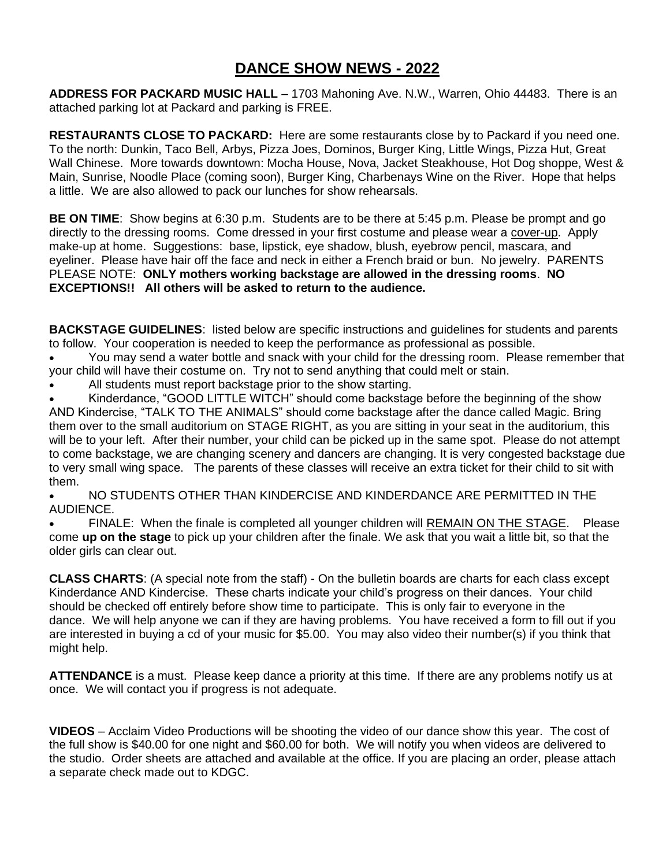### **DANCE SHOW NEWS - 2022**

**ADDRESS FOR PACKARD MUSIC HALL** – 1703 Mahoning Ave. N.W., Warren, Ohio 44483. There is an attached parking lot at Packard and parking is FREE.

**RESTAURANTS CLOSE TO PACKARD:** Here are some restaurants close by to Packard if you need one. To the north: Dunkin, Taco Bell, Arbys, Pizza Joes, Dominos, Burger King, Little Wings, Pizza Hut, Great Wall Chinese. More towards downtown: Mocha House, Nova, Jacket Steakhouse, Hot Dog shoppe, West & Main, Sunrise, Noodle Place (coming soon), Burger King, Charbenays Wine on the River. Hope that helps a little. We are also allowed to pack our lunches for show rehearsals.

**BE ON TIME**: Show begins at 6:30 p.m. Students are to be there at 5:45 p.m. Please be prompt and go directly to the dressing rooms. Come dressed in your first costume and please wear a cover-up. Apply make-up at home. Suggestions: base, lipstick, eye shadow, blush, eyebrow pencil, mascara, and eyeliner. Please have hair off the face and neck in either a French braid or bun. No jewelry. PARENTS PLEASE NOTE: **ONLY mothers working backstage are allowed in the dressing rooms**. **NO EXCEPTIONS!! All others will be asked to return to the audience.**

**BACKSTAGE GUIDELINES**: listed below are specific instructions and guidelines for students and parents to follow. Your cooperation is needed to keep the performance as professional as possible.

• You may send a water bottle and snack with your child for the dressing room. Please remember that your child will have their costume on. Try not to send anything that could melt or stain.

All students must report backstage prior to the show starting.

• Kinderdance, "GOOD LITTLE WITCH" should come backstage before the beginning of the show AND Kindercise, "TALK TO THE ANIMALS" should come backstage after the dance called Magic. Bring them over to the small auditorium on STAGE RIGHT, as you are sitting in your seat in the auditorium, this will be to your left. After their number, your child can be picked up in the same spot. Please do not attempt to come backstage, we are changing scenery and dancers are changing. It is very congested backstage due to very small wing space. The parents of these classes will receive an extra ticket for their child to sit with them.

• NO STUDENTS OTHER THAN KINDERCISE AND KINDERDANCE ARE PERMITTED IN THE AUDIENCE.

• FINALE: When the finale is completed all younger children will REMAIN ON THE STAGE. Please come **up on the stage** to pick up your children after the finale. We ask that you wait a little bit, so that the older girls can clear out.

**CLASS CHARTS**: (A special note from the staff) - On the bulletin boards are charts for each class except Kinderdance AND Kindercise. These charts indicate your child's progress on their dances. Your child should be checked off entirely before show time to participate. This is only fair to everyone in the dance. We will help anyone we can if they are having problems. You have received a form to fill out if you are interested in buying a cd of your music for \$5.00. You may also video their number(s) if you think that might help.

**ATTENDANCE** is a must. Please keep dance a priority at this time. If there are any problems notify us at once. We will contact you if progress is not adequate.

**VIDEOS** – Acclaim Video Productions will be shooting the video of our dance show this year. The cost of the full show is \$40.00 for one night and \$60.00 for both. We will notify you when videos are delivered to the studio. Order sheets are attached and available at the office. If you are placing an order, please attach a separate check made out to KDGC.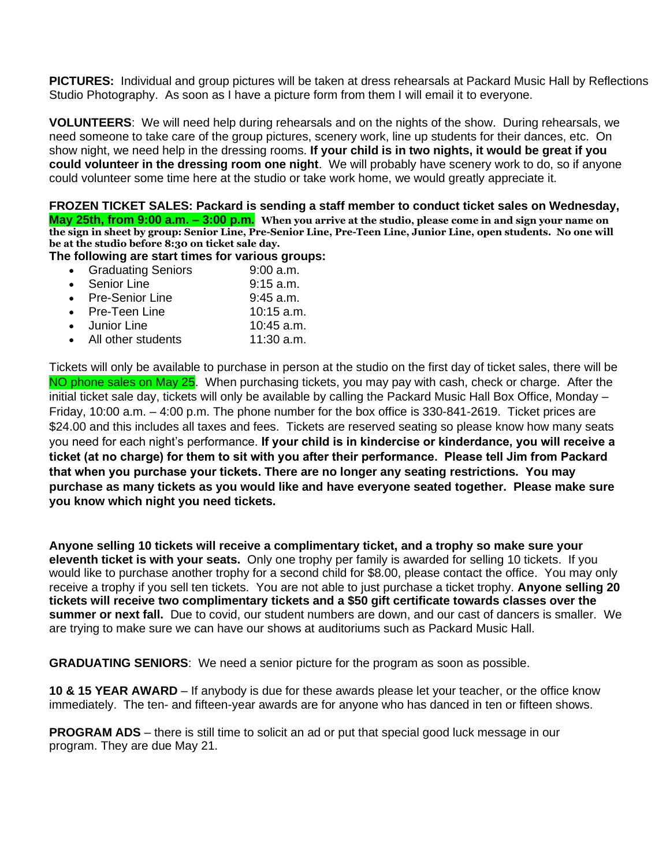**PICTURES:** Individual and group pictures will be taken at dress rehearsals at Packard Music Hall by Reflections Studio Photography. As soon as I have a picture form from them I will email it to everyone.

**VOLUNTEERS**: We will need help during rehearsals and on the nights of the show. During rehearsals, we need someone to take care of the group pictures, scenery work, line up students for their dances, etc. On show night, we need help in the dressing rooms. **If your child is in two nights, it would be great if you could volunteer in the dressing room one night**. We will probably have scenery work to do, so if anyone could volunteer some time here at the studio or take work home, we would greatly appreciate it.

**FROZEN TICKET SALES: Packard is sending a staff member to conduct ticket sales on Wednesday, May 25th, from 9:00 a.m. – 3:00 p.m. When you arrive at the studio, please come in and sign your name on the sign in sheet by group: Senior Line, Pre-Senior Line, Pre-Teen Line, Junior Line, open students. No one will be at the studio before 8:30 on ticket sale day.**

**The following are start times for various groups:**

- Graduating Seniors 9:00 a.m.
- Senior Line 9:15 a.m.
- Pre-Senior Line 9:45 a.m.
- Pre-Teen Line 10:15 a.m.
- Junior Line 10:45 a.m.
- All other students 11:30 a.m.

Tickets will only be available to purchase in person at the studio on the first day of ticket sales, there will be NO phone sales on May 25. When purchasing tickets, you may pay with cash, check or charge. After the initial ticket sale day, tickets will only be available by calling the Packard Music Hall Box Office, Monday – Friday, 10:00 a.m. – 4:00 p.m. The phone number for the box office is 330-841-2619. Ticket prices are \$24.00 and this includes all taxes and fees. Tickets are reserved seating so please know how many seats you need for each night's performance. **If your child is in kindercise or kinderdance, you will receive a ticket (at no charge) for them to sit with you after their performance. Please tell Jim from Packard that when you purchase your tickets. There are no longer any seating restrictions. You may purchase as many tickets as you would like and have everyone seated together. Please make sure you know which night you need tickets.**

**Anyone selling 10 tickets will receive a complimentary ticket, and a trophy so make sure your eleventh ticket is with your seats.** Only one trophy per family is awarded for selling 10 tickets. If you would like to purchase another trophy for a second child for \$8.00, please contact the office. You may only receive a trophy if you sell ten tickets. You are not able to just purchase a ticket trophy. **Anyone selling 20 tickets will receive two complimentary tickets and a \$50 gift certificate towards classes over the summer or next fall.** Due to covid, our student numbers are down, and our cast of dancers is smaller. We are trying to make sure we can have our shows at auditoriums such as Packard Music Hall.

**GRADUATING SENIORS**: We need a senior picture for the program as soon as possible.

**10 & 15 YEAR AWARD** – If anybody is due for these awards please let your teacher, or the office know immediately. The ten- and fifteen-year awards are for anyone who has danced in ten or fifteen shows.

**PROGRAM ADS** – there is still time to solicit an ad or put that special good luck message in our program. They are due May 21.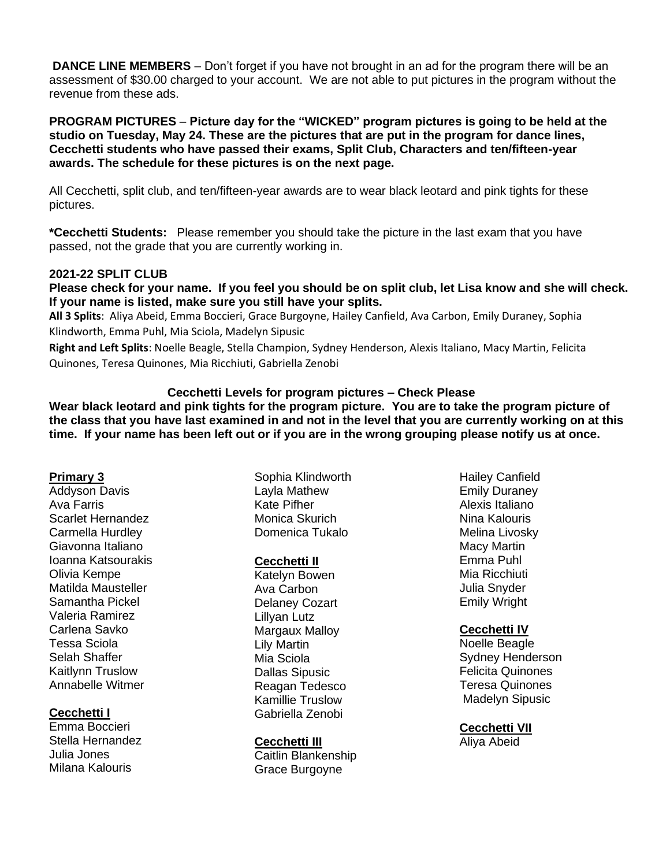**DANCE LINE MEMBERS** – Don't forget if you have not brought in an ad for the program there will be an assessment of \$30.00 charged to your account. We are not able to put pictures in the program without the revenue from these ads.

**PROGRAM PICTURES** – **Picture day for the "WICKED" program pictures is going to be held at the studio on Tuesday, May 24. These are the pictures that are put in the program for dance lines, Cecchetti students who have passed their exams, Split Club, Characters and ten/fifteen-year awards. The schedule for these pictures is on the next page.**

All Cecchetti, split club, and ten/fifteen-year awards are to wear black leotard and pink tights for these pictures.

**\*Cecchetti Students:** Please remember you should take the picture in the last exam that you have passed, not the grade that you are currently working in.

### **2021-22 SPLIT CLUB**

**Please check for your name. If you feel you should be on split club, let Lisa know and she will check. If your name is listed, make sure you still have your splits.**

**All 3 Splits**: Aliya Abeid, Emma Boccieri, Grace Burgoyne, Hailey Canfield, Ava Carbon, Emily Duraney, Sophia Klindworth, Emma Puhl, Mia Sciola, Madelyn Sipusic

**Right and Left Splits**: Noelle Beagle, Stella Champion, Sydney Henderson, Alexis Italiano, Macy Martin, Felicita Quinones, Teresa Quinones, Mia Ricchiuti, Gabriella Zenobi

#### **Cecchetti Levels for program pictures – Check Please**

**Wear black leotard and pink tights for the program picture. You are to take the program picture of the class that you have last examined in and not in the level that you are currently working on at this time. If your name has been left out or if you are in the wrong grouping please notify us at once.**

#### **Primary 3**

Addyson Davis Ava Farris Scarlet Hernandez Carmella Hurdley Giavonna Italiano Ioanna Katsourakis Olivia Kempe Matilda Mausteller Samantha Pickel Valeria Ramirez Carlena Savko Tessa Sciola Selah Shaffer Kaitlynn Truslow Annabelle Witmer

### **Cecchetti I**

Emma Boccieri Stella Hernandez Julia Jones Milana Kalouris

Sophia Klindworth Layla Mathew Kate Pifher Monica Skurich Domenica Tukalo

#### **Cecchetti II**

Katelyn Bowen Ava Carbon Delaney Cozart Lillyan Lutz Margaux Malloy Lily Martin Mia Sciola Dallas Sipusic Reagan Tedesco Kamillie Truslow Gabriella Zenobi

### **Cecchetti III**

Caitlin Blankenship Grace Burgoyne

Hailey Canfield Emily Duraney Alexis Italiano Nina Kalouris Melina Livosky Macy Martin Emma Puhl Mia Ricchiuti Julia Snyder Emily Wright

### **Cecchetti IV**

Noelle Beagle Sydney Henderson Felicita Quinones Teresa Quinones Madelyn Sipusic

**Cecchetti VII**

Aliya Abeid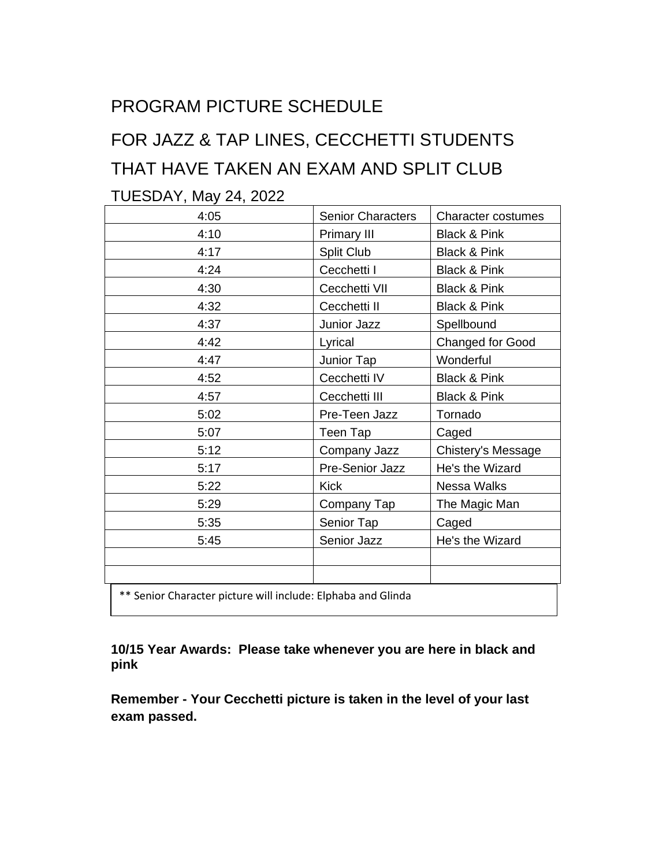## PROGRAM PICTURE SCHEDULE

# FOR JAZZ & TAP LINES, CECCHETTI STUDENTS THAT HAVE TAKEN AN EXAM AND SPLIT CLUB

| $10-00$ , $11, 110, 21, 202$                                 |                          |                         |
|--------------------------------------------------------------|--------------------------|-------------------------|
| 4:05                                                         | <b>Senior Characters</b> | Character costumes      |
| 4:10                                                         | <b>Primary III</b>       | Black & Pink            |
| 4:17                                                         | Split Club               | Black & Pink            |
| 4:24                                                         | Cecchetti I              | <b>Black &amp; Pink</b> |
| 4:30                                                         | Cecchetti VII            | Black & Pink            |
| 4:32                                                         | Cecchetti II             | Black & Pink            |
| 4:37                                                         | <b>Junior Jazz</b>       | Spellbound              |
| 4:42                                                         | Lyrical                  | Changed for Good        |
| 4:47                                                         | Junior Tap               | Wonderful               |
| 4:52                                                         | Cecchetti IV             | Black & Pink            |
| 4:57                                                         | Cecchetti III            | Black & Pink            |
| 5:02                                                         | Pre-Teen Jazz            | Tornado                 |
| 5:07                                                         | Teen Tap                 | Caged                   |
| 5:12                                                         | Company Jazz             | Chistery's Message      |
| 5:17                                                         | Pre-Senior Jazz          | He's the Wizard         |
| 5:22                                                         | <b>Kick</b>              | Nessa Walks             |
| 5:29                                                         | Company Tap              | The Magic Man           |
| 5:35                                                         | Senior Tap               | Caged                   |
| 5:45                                                         | Senior Jazz              | He's the Wizard         |
|                                                              |                          |                         |
|                                                              |                          |                         |
| ** Senior Character picture will include: Elphaba and Glinda |                          |                         |

TUESDAY, May 24, 2022

**10/15 Year Awards: Please take whenever you are here in black and pink**

**Remember - Your Cecchetti picture is taken in the level of your last exam passed.**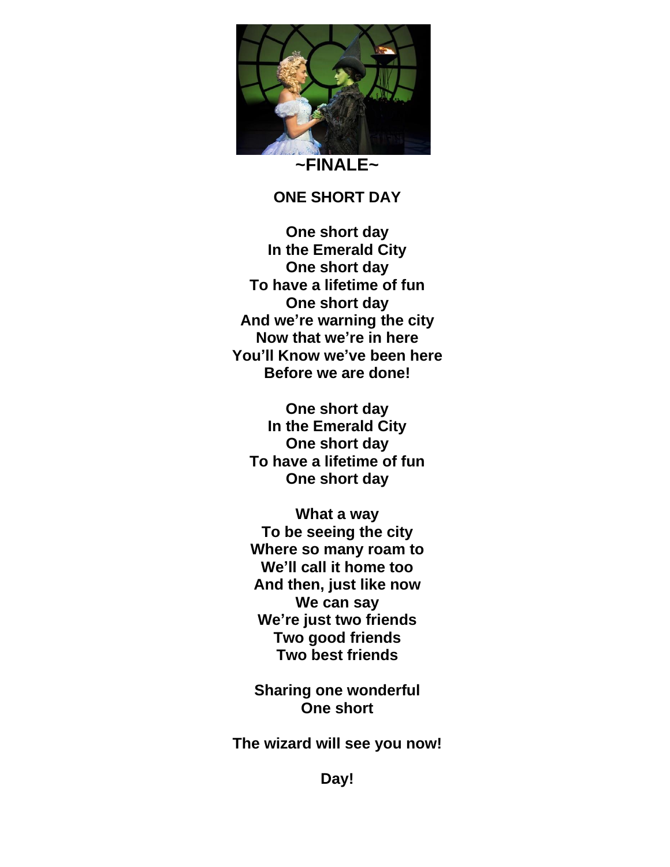

### **~FINALE~**

### **ONE SHORT DAY**

**One short day In the Emerald City One short day To have a lifetime of fun One short day And we're warning the city Now that we're in here You'll Know we've been here Before we are done!**

**One short day In the Emerald City One short day To have a lifetime of fun One short day**

**What a way To be seeing the city Where so many roam to We'll call it home too And then, just like now We can say We're just two friends Two good friends Two best friends**

**Sharing one wonderful One short**

**The wizard will see you now!**

**Day!**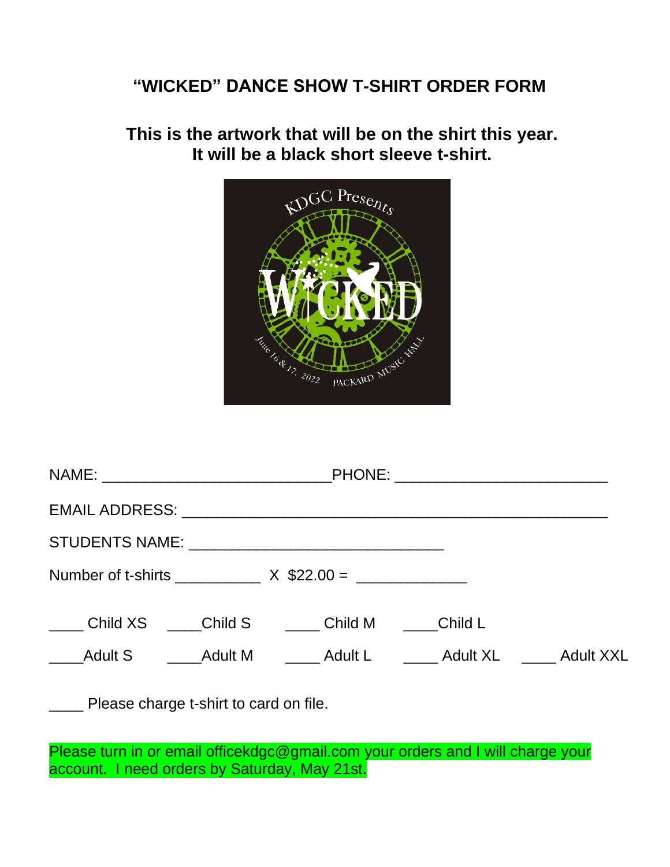## **"WICKED" DANCE SHOW T-SHIRT ORDER FORM**

**This is the artwork that will be on the shirt this year. It will be a black short sleeve t-shirt.**



| PHONE: ______________________________                                         |  |  |  |  |
|-------------------------------------------------------------------------------|--|--|--|--|
|                                                                               |  |  |  |  |
|                                                                               |  |  |  |  |
|                                                                               |  |  |  |  |
| Child XS Child S Child M Child L                                              |  |  |  |  |
| Adult S ________ Adult M ________ Adult L ________ Adult XL _______ Adult XXL |  |  |  |  |
| Please charge t-shirt to card on file.                                        |  |  |  |  |

Please turn in or email officekdgc@gmail.com your orders and I will charge your account. I need orders by Saturday, May 21st.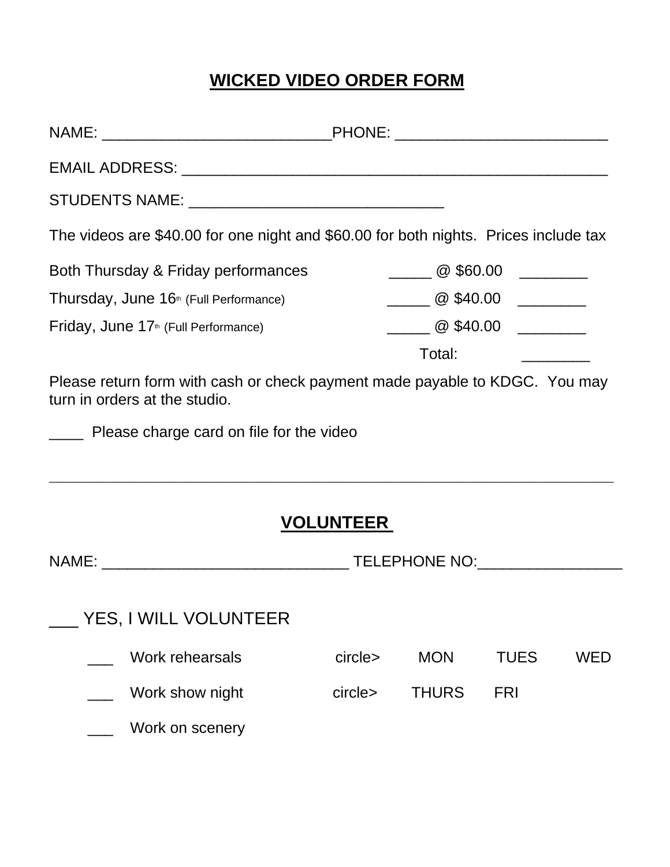# **WICKED VIDEO ORDER FORM**

| STUDENTS NAME: ___________________________________                                                                                                                                                                                                                                                                                                                        |                  |                                                                                                                                                                                                                                                                                                                     |                                         |            |
|---------------------------------------------------------------------------------------------------------------------------------------------------------------------------------------------------------------------------------------------------------------------------------------------------------------------------------------------------------------------------|------------------|---------------------------------------------------------------------------------------------------------------------------------------------------------------------------------------------------------------------------------------------------------------------------------------------------------------------|-----------------------------------------|------------|
| The videos are \$40.00 for one night and \$60.00 for both nights. Prices include tax                                                                                                                                                                                                                                                                                      |                  |                                                                                                                                                                                                                                                                                                                     |                                         |            |
| Both Thursday & Friday performances                                                                                                                                                                                                                                                                                                                                       |                  | $\frac{1}{2}$ $\frac{1}{2}$ $\frac{1}{2}$ $\frac{1}{2}$ $\frac{1}{2}$ $\frac{1}{2}$ $\frac{1}{2}$ $\frac{1}{2}$ $\frac{1}{2}$ $\frac{1}{2}$ $\frac{1}{2}$ $\frac{1}{2}$ $\frac{1}{2}$ $\frac{1}{2}$ $\frac{1}{2}$ $\frac{1}{2}$ $\frac{1}{2}$ $\frac{1}{2}$ $\frac{1}{2}$ $\frac{1}{2}$ $\frac{1}{2}$ $\frac{1}{2}$ |                                         |            |
| $\frac{1}{2}$ $\frac{1}{2}$ $\frac{1}{2}$ $\frac{1}{2}$ $\frac{1}{2}$ $\frac{1}{2}$ $\frac{1}{2}$ $\frac{1}{2}$ $\frac{1}{2}$ $\frac{1}{2}$ $\frac{1}{2}$ $\frac{1}{2}$ $\frac{1}{2}$ $\frac{1}{2}$ $\frac{1}{2}$ $\frac{1}{2}$ $\frac{1}{2}$ $\frac{1}{2}$ $\frac{1}{2}$ $\frac{1}{2}$ $\frac{1}{2}$ $\frac{1}{2}$<br>Thursday, June 16 <sup>th</sup> (Full Performance) |                  |                                                                                                                                                                                                                                                                                                                     |                                         |            |
| $\frac{1}{2}$ $\frac{1}{2}$ \$40.00<br>Friday, June 17 <sup>th</sup> (Full Performance)                                                                                                                                                                                                                                                                                   |                  |                                                                                                                                                                                                                                                                                                                     |                                         |            |
|                                                                                                                                                                                                                                                                                                                                                                           |                  | Total:                                                                                                                                                                                                                                                                                                              | <u> 1999 - Johann Barbara, martin a</u> |            |
| Please return form with cash or check payment made payable to KDGC. You may<br>turn in orders at the studio.                                                                                                                                                                                                                                                              |                  |                                                                                                                                                                                                                                                                                                                     |                                         |            |
| _____ Please charge card on file for the video                                                                                                                                                                                                                                                                                                                            |                  |                                                                                                                                                                                                                                                                                                                     |                                         |            |
|                                                                                                                                                                                                                                                                                                                                                                           |                  |                                                                                                                                                                                                                                                                                                                     |                                         |            |
|                                                                                                                                                                                                                                                                                                                                                                           | <b>VOLUNTEER</b> |                                                                                                                                                                                                                                                                                                                     |                                         |            |
|                                                                                                                                                                                                                                                                                                                                                                           |                  |                                                                                                                                                                                                                                                                                                                     |                                         |            |
| YES, I WILL VOLUNTEER                                                                                                                                                                                                                                                                                                                                                     |                  |                                                                                                                                                                                                                                                                                                                     |                                         |            |
|                                                                                                                                                                                                                                                                                                                                                                           |                  |                                                                                                                                                                                                                                                                                                                     |                                         |            |
| Work rehearsals                                                                                                                                                                                                                                                                                                                                                           | circle>          | <b>MON</b>                                                                                                                                                                                                                                                                                                          | <b>TUES</b>                             | <b>WED</b> |
| Work show night                                                                                                                                                                                                                                                                                                                                                           | circle>          | <b>THURS</b>                                                                                                                                                                                                                                                                                                        | <b>FRI</b>                              |            |
| Work on scenery                                                                                                                                                                                                                                                                                                                                                           |                  |                                                                                                                                                                                                                                                                                                                     |                                         |            |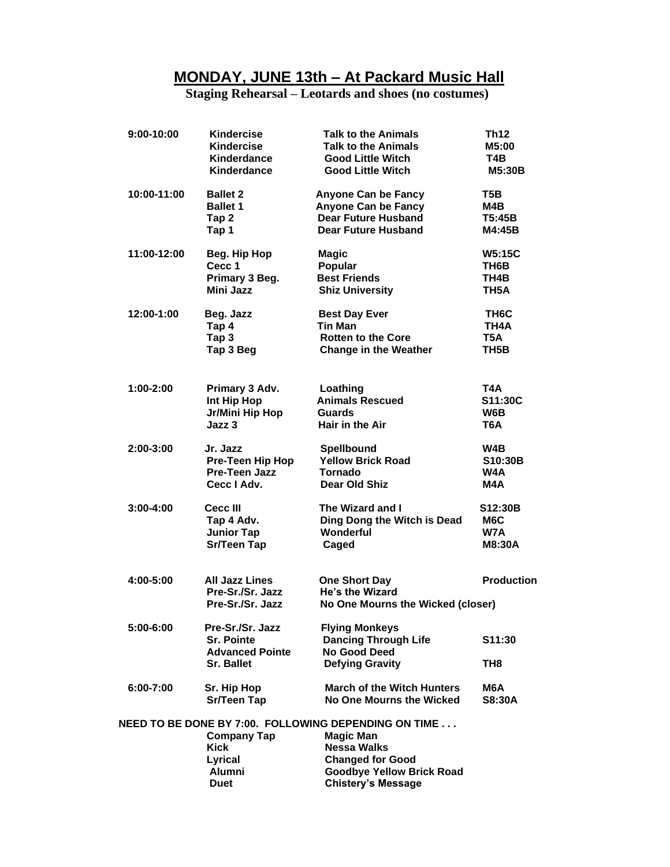### **MONDAY, JUNE 13th – At Packard Music Hall**

#### **Staging Rehearsal – Leotards and shoes (no costumes)**

| 9:00-10:00  | Kindercise                                                                    | <b>Talk to the Animals</b>                                                                                                                                                          | <b>Th12</b>       |
|-------------|-------------------------------------------------------------------------------|-------------------------------------------------------------------------------------------------------------------------------------------------------------------------------------|-------------------|
|             | <b>Kindercise</b>                                                             | <b>Talk to the Animals</b>                                                                                                                                                          | M5:00             |
|             | Kinderdance                                                                   | <b>Good Little Witch</b>                                                                                                                                                            | T4B.              |
|             | Kinderdance                                                                   | <b>Good Little Witch</b>                                                                                                                                                            | <b>M5:30B</b>     |
| 10:00-11:00 | <b>Ballet 2</b>                                                               | <b>Anyone Can be Fancy</b>                                                                                                                                                          | T5B               |
|             | <b>Ballet 1</b>                                                               | <b>Anyone Can be Fancy</b>                                                                                                                                                          | M4B               |
|             | Tap 2                                                                         | <b>Dear Future Husband</b>                                                                                                                                                          | T5:45B            |
|             | Tap 1                                                                         | <b>Dear Future Husband</b>                                                                                                                                                          | M4:45B            |
| 11:00-12:00 | Beg. Hip Hop                                                                  | <b>Magic</b>                                                                                                                                                                        | <b>W5:15C</b>     |
|             | Cecc 1                                                                        | Popular                                                                                                                                                                             | TH6B              |
|             | Primary 3 Beg.                                                                | <b>Best Friends</b>                                                                                                                                                                 | TH4B              |
|             | Mini Jazz                                                                     | <b>Shiz University</b>                                                                                                                                                              | TH <sub>5</sub> A |
| 12:00-1:00  | Beg. Jazz                                                                     | <b>Best Day Ever</b>                                                                                                                                                                | TH <sub>6</sub> C |
|             | Tap 4                                                                         | Tin Man                                                                                                                                                                             | TH <sub>4</sub> A |
|             | Tap <sub>3</sub>                                                              | <b>Rotten to the Core</b>                                                                                                                                                           | T5A               |
|             | Tap 3 Beg                                                                     | <b>Change in the Weather</b>                                                                                                                                                        | TH5B              |
| $1:00-2:00$ | Primary 3 Adv.                                                                | Loathing                                                                                                                                                                            | T4A               |
|             | Int Hip Hop                                                                   | <b>Animals Rescued</b>                                                                                                                                                              | S11:30C           |
|             | Jr/Mini Hip Hop                                                               | <b>Guards</b>                                                                                                                                                                       | W6B               |
|             | Jazz 3                                                                        | Hair in the Air                                                                                                                                                                     | T6A               |
| 2:00-3:00   | Jr. Jazz                                                                      | Spellbound                                                                                                                                                                          | W4B               |
|             | <b>Pre-Teen Hip Hop</b>                                                       | <b>Yellow Brick Road</b>                                                                                                                                                            | S10:30B           |
|             | Pre-Teen Jazz                                                                 | Tornado                                                                                                                                                                             | W4A               |
|             | Cecc I Adv.                                                                   | Dear Old Shiz                                                                                                                                                                       | M4A               |
| $3:00-4:00$ | <b>Cecc III</b>                                                               | The Wizard and I                                                                                                                                                                    | S12:30B           |
|             | Tap 4 Adv.                                                                    | Ding Dong the Witch is Dead                                                                                                                                                         | M6C               |
|             | <b>Junior Tap</b>                                                             | Wonderful                                                                                                                                                                           | W7A               |
|             | Sr/Teen Tap                                                                   | Caged                                                                                                                                                                               | M8:30A            |
| 4:00-5:00   | All Jazz Lines<br>Pre-Sr./Sr. Jazz<br>Pre-Sr./Sr. Jazz                        | One Short Day<br>He's the Wizard<br>No One Mourns the Wicked (closer)                                                                                                               | <b>Production</b> |
| 5:00-6:00   | Pre-Sr./Sr. Jazz<br><b>Sr. Pointe</b><br><b>Advanced Pointe</b><br>Sr. Ballet | <b>Flying Monkeys</b><br><b>Dancing Through Life</b><br><b>No Good Deed</b><br><b>Defying Gravity</b>                                                                               | S11:30<br>TH8     |
| 6:00-7:00   | Sr. Hip Hop                                                                   | <b>March of the Witch Hunters</b>                                                                                                                                                   | M6A               |
|             | Sr/Teen Tap                                                                   | No One Mourns the Wicked                                                                                                                                                            | <b>S8:30A</b>     |
|             | <b>Company Tap</b><br>Kick<br>Lyrical<br>Alumni<br><b>Duet</b>                | NEED TO BE DONE BY 7:00. FOLLOWING DEPENDING ON TIME<br><b>Magic Man</b><br>Nessa Walks<br><b>Changed for Good</b><br><b>Goodbye Yellow Brick Road</b><br><b>Chistery's Message</b> |                   |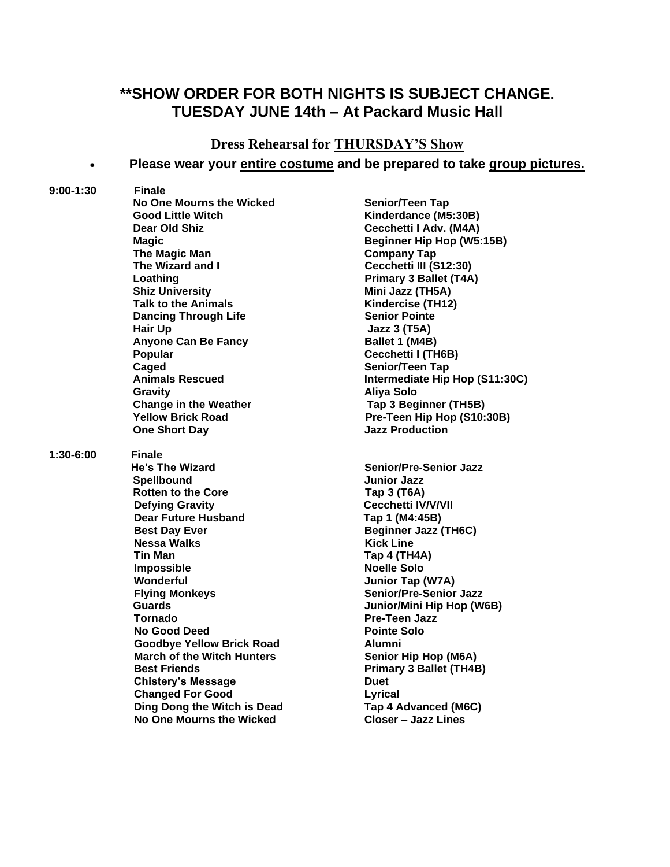### **\*\*SHOW ORDER FOR BOTH NIGHTS IS SUBJECT CHANGE. TUESDAY JUNE 14th – At Packard Music Hall**

#### **Dress Rehearsal for THURSDAY'S Show**

#### • **Please wear your entire costume and be prepared to take group pictures.**

**9:00-1:30 Finale No One Mourns the Wicked Senior/Teen Tap Good Little Witch Kinderdance (M5:30B) Dear Old Shiz Cecchetti I Adv. (M4A) Magic Beginner Hip Hop (W5:15B) The Magic Man Company Tap The Wizard and I Cecchetti III (S12:30)** Loathing **Primary 3 Ballet (T4A)**<br>
Shiz University **Primary 3 Ballet (T4A) Talk to the Animals Kindercise (TH12) Dancing Through Life <b>Senior Pointe Senior Pointe Hair Up Jazz 3 (T5A)** Anyone Can Be Fancy **Ballet 1** (M4B) **Popular Cecchetti I (TH6B) Caged Senior/Teen Tap Animals Rescued Intermediate Hip Hop (S11:30C) Gravity Aliya Solo Change in the Weather Yellow Brick Road Pre-Teen Hip Hop (S10:30B) One Short Day Jazz Production 1:30-6:00 Finale Spellbound Junior Jazz Rotten to the Core Tap 3 (T6A) Defying Gravity Cecchetti IV/V/VII Dear Future Husband Tap 1 (M4:45B) Best Day Ever Beginner Jazz (TH6C) Nessa Walks Kick Line Tin Man Tap 4 (TH4A) Impossible Noelle Solo Wonderful Junior Tap (W7A) Flying Monkeys Senior/Pre-Senior Jazz Guards Junior/Mini Hip Hop (W6B) Tornado Pre-Teen Jazz No Good Deed Pointe Solo Goodbye Yellow Brick Road Alumni March of the Witch Hunters Senior Hip Hop (M6A) Best Friends Primary 3 Ballet (TH4B) Chistery's Message Duet Changed For Good Lyrical Ding Dong the Witch is Dead No One Mourns the Wicked Closer – Jazz Lines**

**Mini Jazz (TH5A)** 

**Senior/Pre-Senior Jazz**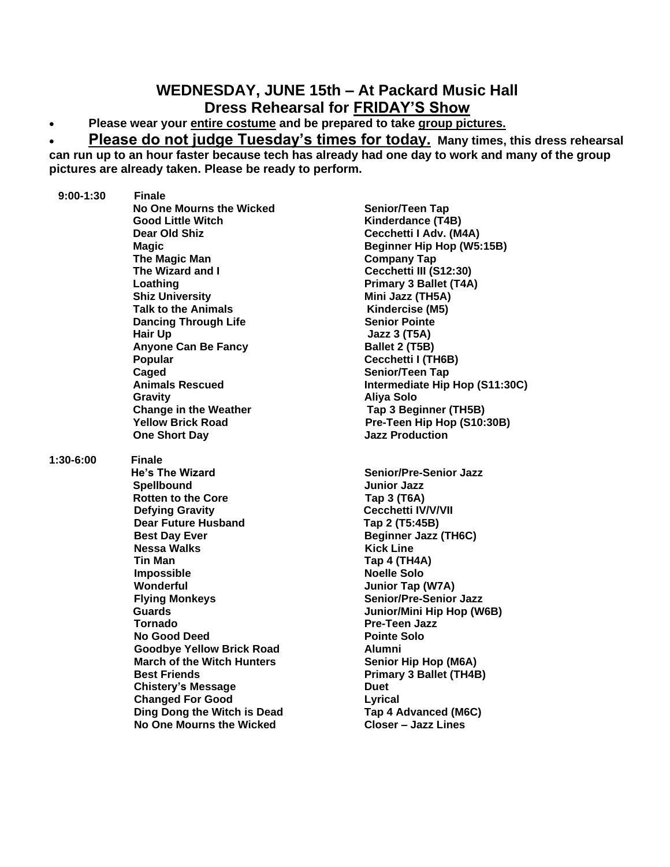### **WEDNESDAY, JUNE 15th – At Packard Music Hall Dress Rehearsal for FRIDAY'S Show**

• **Please wear your entire costume and be prepared to take group pictures.**

• **Please do not judge Tuesday's times for today. Many times, this dress rehearsal** 

**can run up to an hour faster because tech has already had one day to work and many of the group pictures are already taken. Please be ready to perform.**

 **9:00-1:30 Finale No One Mourns the Wicked <b>Senior/Teen Tap Good Little Witch Kinderdance (T4B) Dear Old Shiz Cecchetti I Adv. (M4A) Magic Beginner Hip Hop (W5:15B) The Magic Man Company Tap Loathing Primary 3 Ballet (T4A) Shiz University Mini Jazz (TH5A) Talk to the Animals Kindercise (M5) Dancing Through Life <b>Senior Pointe Senior Pointe Hair Up Jazz 3 (T5A)** Anyone Can Be Fancy **Ballet 2 (T5B) Popular Cecchetti I (TH6B) Caged Senior/Teen Tap Animals Rescued Intermediate Hip Hop (S11:30C) Gravity Aliya Solo Change in the Weather Yellow Brick Road Pre-Teen Hip Hop (S10:30B) One Short Day 1:30-6:00 Finale He's The Wizard Senior/Pre-Senior Jazz Spellbound Junior Jazz Rotten to the Core Tap 3 (T6A) Defying Gravity Cecchetti IV/V/VII Dear Future Husband Tap 2 (T5:45B) Nessa Walks Kick Line Tin Man Tap 4 (TH4A) Impossible Noelle Solo Wonderful Junior Tap (W7A) Flying Monkeys Senior/Pre-Senior Jazz Guards Junior/Mini Hip Hop (W6B) Tornado Pre-Teen Jazz No Good Deed Pointe Solo**<br> **Pointe Solo**<br> **Coodbye Yellow Brick Road <b>Point** Alumni **Goodbye Yellow Brick Road March of the Witch Hunters Senior Hip Hop (M6A) Best Friends Primary 3 Ballet (TH4B) Chistery's Message Duet Changed For Good Lyrical Ding Dong the Witch is Dead Tap 4 Advanced (M6C) No One Mourns the Wicked** 

**The Wizard and I Cecchetti III (S12:30) Beginner Jazz (TH6C)**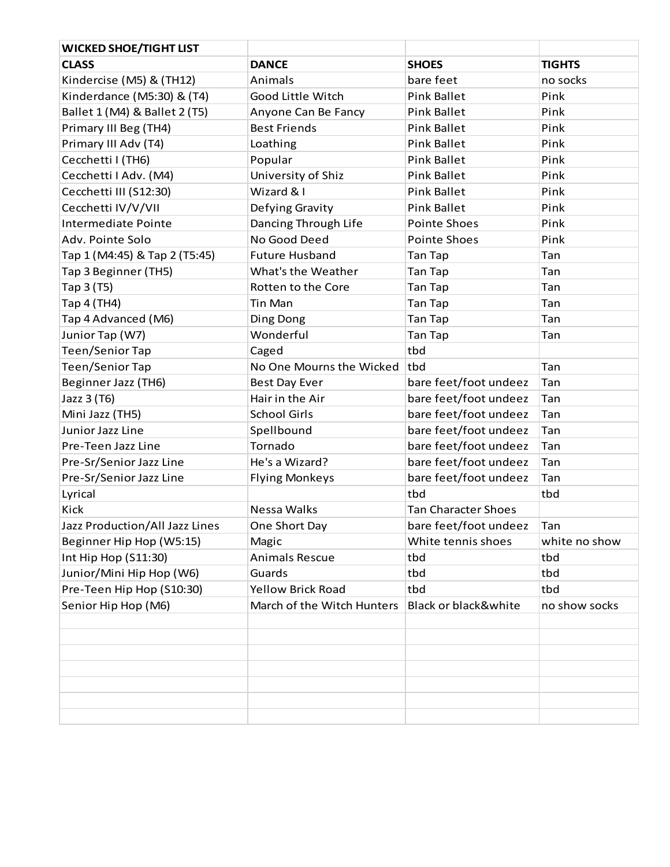| <b>WICKED SHOE/TIGHT LIST</b>  |                            |                            |               |
|--------------------------------|----------------------------|----------------------------|---------------|
| <b>CLASS</b>                   | <b>DANCE</b>               | <b>SHOES</b>               | <b>TIGHTS</b> |
| Kindercise (M5) & (TH12)       | Animals                    | bare feet                  | no socks      |
| Kinderdance (M5:30) & (T4)     | Good Little Witch          | <b>Pink Ballet</b>         | Pink          |
| Ballet 1 (M4) & Ballet 2 (T5)  | Anyone Can Be Fancy        | Pink Ballet                | Pink          |
| Primary III Beg (TH4)          | <b>Best Friends</b>        | <b>Pink Ballet</b>         | Pink          |
| Primary III Adv (T4)           | Loathing                   | <b>Pink Ballet</b>         | Pink          |
| Cecchetti I (TH6)              | Popular                    | Pink Ballet                | Pink          |
| Cecchetti I Adv. (M4)          | University of Shiz         | <b>Pink Ballet</b>         | Pink          |
| Cecchetti III (S12:30)         | Wizard & I                 | <b>Pink Ballet</b>         | Pink          |
| Cecchetti IV/V/VII             | Defying Gravity            | <b>Pink Ballet</b>         | Pink          |
| <b>Intermediate Pointe</b>     | Dancing Through Life       | <b>Pointe Shoes</b>        | Pink          |
| Adv. Pointe Solo               | No Good Deed               | <b>Pointe Shoes</b>        | Pink          |
| Tap 1 (M4:45) & Tap 2 (T5:45)  | <b>Future Husband</b>      | Tan Tap                    | Tan           |
| Tap 3 Beginner (TH5)           | What's the Weather         | Tan Tap                    | Tan           |
| Tap 3 (T5)                     | Rotten to the Core         | Tan Tap                    | Tan           |
| Tap 4 (TH4)                    | Tin Man                    | Tan Tap                    | Tan           |
| Tap 4 Advanced (M6)            | Ding Dong                  | Tan Tap                    | Tan           |
| Junior Tap (W7)                | Wonderful                  | Tan Tap                    | Tan           |
| Teen/Senior Tap                | Caged                      | tbd                        |               |
| Teen/Senior Tap                | No One Mourns the Wicked   | tbd                        | Tan           |
| Beginner Jazz (TH6)            | Best Day Ever              | bare feet/foot undeez      | Tan           |
| Jazz 3 (T6)                    | Hair in the Air            | bare feet/foot undeez      | Tan           |
| Mini Jazz (TH5)                | <b>School Girls</b>        | bare feet/foot undeez      | Tan           |
| Junior Jazz Line               | Spellbound                 | bare feet/foot undeez      | Tan           |
| Pre-Teen Jazz Line             | Tornado                    | bare feet/foot undeez      | Tan           |
| Pre-Sr/Senior Jazz Line        | He's a Wizard?             | bare feet/foot undeez      | Tan           |
| Pre-Sr/Senior Jazz Line        | <b>Flying Monkeys</b>      | bare feet/foot undeez      | Tan           |
| Lyrical                        |                            | tbd                        | tbd           |
| Kick                           | <b>Nessa Walks</b>         | <b>Tan Character Shoes</b> |               |
| Jazz Production/All Jazz Lines | One Short Day              | bare feet/foot undeez      | Tan           |
| Beginner Hip Hop (W5:15)       | Magic                      | White tennis shoes         | white no show |
| Int Hip Hop (S11:30)           | <b>Animals Rescue</b>      | tbd                        | tbd           |
| Junior/Mini Hip Hop (W6)       | Guards                     | tbd                        | tbd           |
| Pre-Teen Hip Hop (S10:30)      | <b>Yellow Brick Road</b>   | tbd                        | tbd           |
| Senior Hip Hop (M6)            | March of the Witch Hunters | Black or black&white       | no show socks |
|                                |                            |                            |               |
|                                |                            |                            |               |
|                                |                            |                            |               |
|                                |                            |                            |               |
|                                |                            |                            |               |
|                                |                            |                            |               |
|                                |                            |                            |               |